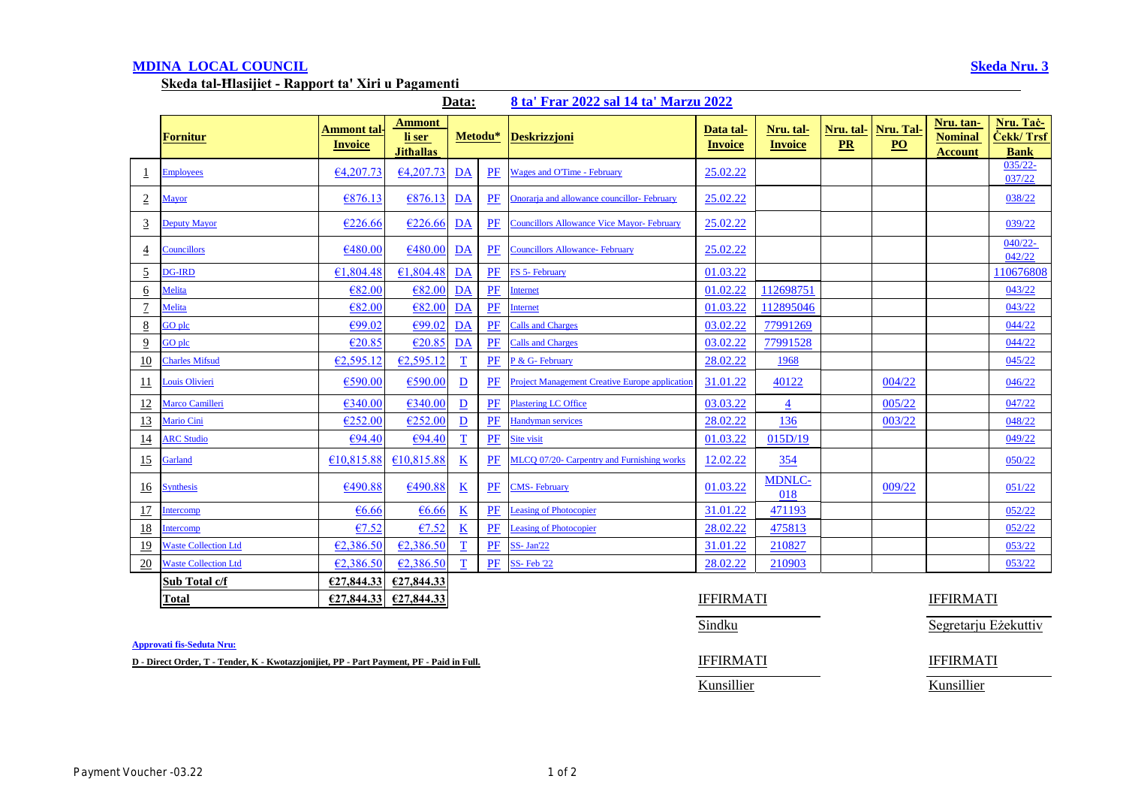# **MDINA LOCAL COUNCIL Skeda Nru. 3**

**Skeda tal-Ħlasijiet - Rapport ta' Xiri u Pagamenti** 

**Data: 8 ta' Frar 2022 sal 14 ta' Marzu 2022**

|                  | Fornitur                    | Ammont tal<br><b>Invoice</b> | <b>Ammont</b><br>li ser<br><b>Jithallas</b> | Metodu*                  |       | <b>Deskrizzjoni</b>                                   | Data tal-<br><b>Invoice</b> | Nru. tal-<br><b>Invoice</b> | Nru. tal-<br>PR | Nru. Tal-<br>$\underline{PO}$ | Nru. tan-<br><b>Nominal</b><br><b>Account</b> | Nru. Tač-<br>Čekk/ Trsf<br><b>Bank</b> |
|------------------|-----------------------------|------------------------------|---------------------------------------------|--------------------------|-------|-------------------------------------------------------|-----------------------------|-----------------------------|-----------------|-------------------------------|-----------------------------------------------|----------------------------------------|
| 1                | <b>Employees</b>            | €4,207,73                    | 64,207.73                                   | DA                       | PF    | <b>Wages and O'Time - February</b>                    | 25.02.22                    |                             |                 |                               |                                               | $035/22 -$<br>037/22                   |
| $\overline{2}$   | <b>Mayor</b>                | €876.13                      | €876.13                                     | DA                       | PF    | Onorarja and allowance councillor-February            | 25.02.22                    |                             |                 |                               |                                               | 038/22                                 |
| $\overline{3}$   | <b>Deputy Mayor</b>         | €226.66                      | €226.66                                     | DA                       | PF    | <b>Councillors Allowance Vice Mayor- February</b>     | 25.02.22                    |                             |                 |                               |                                               | 039/22                                 |
| $\overline{4}$   | <b>Councillors</b>          | €480.00                      | €480.00                                     | DA                       | PF    | <b>Councillors Allowance- February</b>                | 25.02.22                    |                             |                 |                               |                                               | $040/22 -$<br>042/22                   |
| $\overline{5}$   | <b>DG-IRD</b>               | €1,804.48                    | €1,804.48                                   | DA                       | PF    | FS 5- February                                        | 01.03.22                    |                             |                 |                               |                                               | 110676808                              |
| $6 \overline{6}$ | Melita                      | €82.00                       | €82.00                                      | DA                       | PF    | Internet                                              | 01.02.22                    | 112698751                   |                 |                               |                                               | 043/22                                 |
| $\overline{1}$   | Melita                      | €82.00                       | €82.00                                      | $\overline{\mathbf{DA}}$ | PF    | nternet                                               | 01.03.22                    | 112895046                   |                 |                               |                                               | 043/22                                 |
| $\underline{8}$  | GO plc                      | E99.02                       | €99.02                                      | $\overline{\mathbf{DA}}$ | PF    | <b>Calls and Charges</b>                              | 03.02.22                    | 77991269                    |                 |                               |                                               | 044/22                                 |
| $\overline{9}$   | GO plc                      | €20.85                       | €20.85                                      | DA                       | PF    | <b>Calls and Charges</b>                              | 03.02.22                    | 77991528                    |                 |                               |                                               | 044/22                                 |
| 10               | <b>Charles Mifsud</b>       | €2,595.12                    | €2,595.12                                   | $\mathbf T$              | PF    | P & G- February                                       | 28.02.22                    | 1968                        |                 |                               |                                               | 045/22                                 |
| $\overline{11}$  | Louis Olivieri              | €590.00                      | €590.00                                     | $\overline{\mathbf{D}}$  | PF    | <b>Project Management Creative Europe application</b> | 31.01.22                    | 40122                       |                 | 004/22                        |                                               | 046/22                                 |
| 12               | Marco Camilleri             | €340.00                      | €340.00                                     | $\overline{D}$           | $P$ F | <b>Plastering LC Office</b>                           | 03.03.22                    | $\overline{4}$              |                 | 005/22                        |                                               | 047/22                                 |
| 13               | Mario Cini                  | €252.00                      | €252.00                                     | $\underline{\mathbf{D}}$ | PF    | <b>Handyman services</b>                              | 28.02.22                    | 136                         |                 | 003/22                        |                                               | 048/22                                 |
| 14               | <b>ARC Studio</b>           | €94.40                       | E94.40                                      | $\mathbf T$              | $P$ F | Site visit                                            | 01.03.22                    | 015D/19                     |                 |                               |                                               | 049/22                                 |
| 15               | Garland                     | €10.815.88                   | €10,815.88                                  | $\underline{\mathbf{K}}$ | PF    | MLCO 07/20- Carpentry and Furnishing works            | 12.02.22                    | 354                         |                 |                               |                                               | 050/22                                 |
| <u>16</u>        | <b>Synthesis</b>            | €490.88                      | €490.88                                     | $\underline{\mathbf{K}}$ | PF    | <b>CMS-February</b>                                   | 01.03.22                    | <b>MDNLC-</b><br>018        |                 | 009/22                        |                                               | 051/22                                 |
| 17               | <b>Intercomp</b>            | €6.66                        | €6.66                                       | $\underline{\mathbf{K}}$ | PF    | <b>Leasing of Photocopier</b>                         | 31.01.22                    | 471193                      |                 |                               |                                               | 052/22                                 |
| <u>18</u>        | ntercomp                    | €7.52                        | €7.52                                       | $\underline{\mathbf{K}}$ | PF    | <b>Leasing of Photocopier</b>                         | 28.02.22                    | 475813                      |                 |                               |                                               | 052/22                                 |
| <u>19</u>        | <b>Waste Collection Ltd</b> | €2,386.50                    | €2,386.50                                   | $\mathbf{T}$             | PF    | $SS - Jan'22$                                         | 31.01.22                    | 210827                      |                 |                               |                                               | 053/22                                 |
| 20               | <b>Waste Collection Ltd</b> | €2,386.50                    | €2,386.50                                   | T                        | PF    | <b>SS-Feb 22</b>                                      | 28.02.22                    | 210903                      |                 |                               |                                               | 053/22                                 |
|                  | Sub Total c/f               | €27,844.33                   | €27,844.33                                  |                          |       |                                                       |                             |                             |                 |                               |                                               |                                        |
|                  | Total                       | €27,844.33                   | €27,844.33                                  |                          |       |                                                       | <b>IFFIRMATI</b>            |                             |                 |                               | <b>IFFIRMATI</b>                              |                                        |

**Approvati fis-Seduta Nru:**

**D** - Direct Order, T - Tender, K - Kwotazzjonijiet, PP - Part Payment, PF - Paid in Full. **IFFIRMATI** IFFIRMATI

### Sindku Segretarju Eżekuttiv

Kunsillier Kunsillier